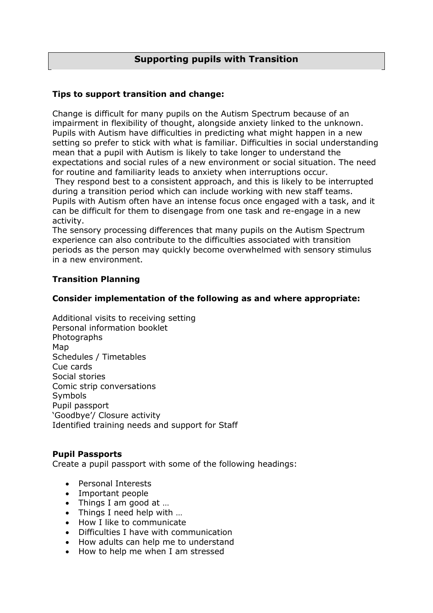# **Supporting pupils with Transition**

# **Tips to support transition and change:**

Change is difficult for many pupils on the Autism Spectrum because of an impairment in flexibility of thought, alongside anxiety linked to the unknown. Pupils with Autism have difficulties in predicting what might happen in a new setting so prefer to stick with what is familiar. Difficulties in social understanding mean that a pupil with Autism is likely to take longer to understand the expectations and social rules of a new environment or social situation. The need for routine and familiarity leads to anxiety when interruptions occur.

They respond best to a consistent approach, and this is likely to be interrupted during a transition period which can include working with new staff teams. Pupils with Autism often have an intense focus once engaged with a task, and it can be difficult for them to disengage from one task and re-engage in a new activity.

The sensory processing differences that many pupils on the Autism Spectrum experience can also contribute to the difficulties associated with transition periods as the person may quickly become overwhelmed with sensory stimulus in a new environment.

# **Transition Planning**

# **Consider implementation of the following as and where appropriate:**

Additional visits to receiving setting Personal information booklet Photographs Map Schedules / Timetables Cue cards Social stories Comic strip conversations Symbols Pupil passport 'Goodbye'/ Closure activity Identified training needs and support for Staff

# **Pupil Passports**

Create a pupil passport with some of the following headings:

- Personal Interests
- Important people
- Things I am good at …
- Things I need help with ...
- How I like to communicate
- Difficulties I have with communication
- How adults can help me to understand
- How to help me when I am stressed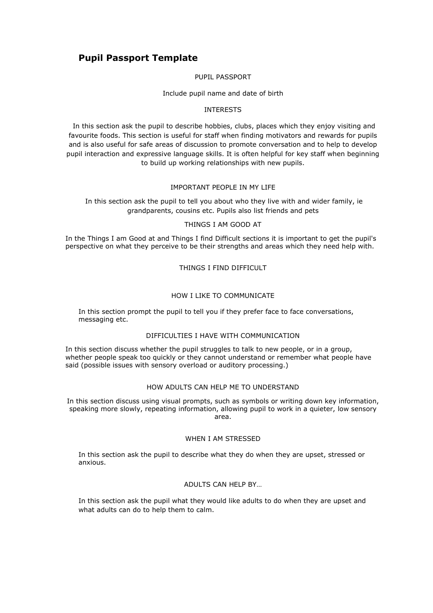# **Pupil Passport Template**

## PUPIL PASSPORT

## Include pupil name and date of birth

## INTERESTS

In this section ask the pupil to describe hobbies, clubs, places which they enjoy visiting and favourite foods. This section is useful for staff when finding motivators and rewards for pupils and is also useful for safe areas of discussion to promote conversation and to help to develop pupil interaction and expressive language skills. It is often helpful for key staff when beginning to build up working relationships with new pupils.

# IMPORTANT PEOPLE IN MY LIFE

In this section ask the pupil to tell you about who they live with and wider family, ie grandparents, cousins etc. Pupils also list friends and pets

#### THINGS I AM GOOD AT

In the Things I am Good at and Things I find Difficult sections it is important to get the pupil's perspective on what they perceive to be their strengths and areas which they need help with.

## THINGS I FIND DIFFICULT

## HOW I LIKE TO COMMUNICATE

In this section prompt the pupil to tell you if they prefer face to face conversations, messaging etc.

## DIFFICULTIES I HAVE WITH COMMUNICATION

In this section discuss whether the pupil struggles to talk to new people, or in a group, whether people speak too quickly or they cannot understand or remember what people have said (possible issues with sensory overload or auditory processing.)

# HOW ADULTS CAN HELP ME TO UNDERSTAND

In this section discuss using visual prompts, such as symbols or writing down key information, speaking more slowly, repeating information, allowing pupil to work in a quieter, low sensory area.

## WHEN I AM STRESSED

In this section ask the pupil to describe what they do when they are upset, stressed or anxious.

## ADULTS CAN HELP BY…

In this section ask the pupil what they would like adults to do when they are upset and what adults can do to help them to calm.